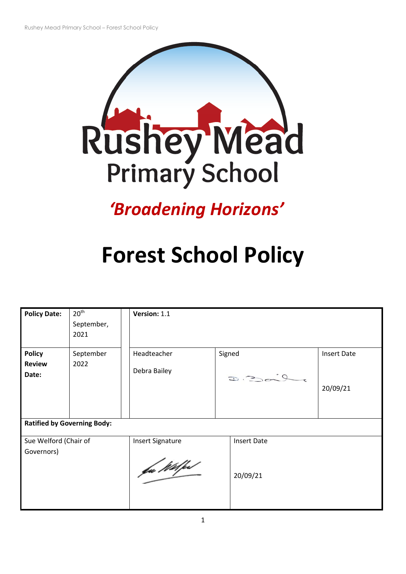

# *'Broadening Horizons'*

# **Forest School Policy**

| <b>Policy Date:</b>                 | 20 <sup>th</sup><br>September,<br>2021 | Version: 1.1                           |                    |                    |  |
|-------------------------------------|----------------------------------------|----------------------------------------|--------------------|--------------------|--|
| <b>Policy</b>                       | September                              | Headteacher                            | Signed             | <b>Insert Date</b> |  |
| <b>Review</b><br>Date:              | 2022                                   | Debra Bailey                           | D.200              | 20/09/21           |  |
| <b>Ratified by Governing Body:</b>  |                                        |                                        |                    |                    |  |
| Sue Welford (Chair of<br>Governors) |                                        | <b>Insert Signature</b><br>fac Wilfest | <b>Insert Date</b> | 20/09/21           |  |
|                                     |                                        |                                        |                    |                    |  |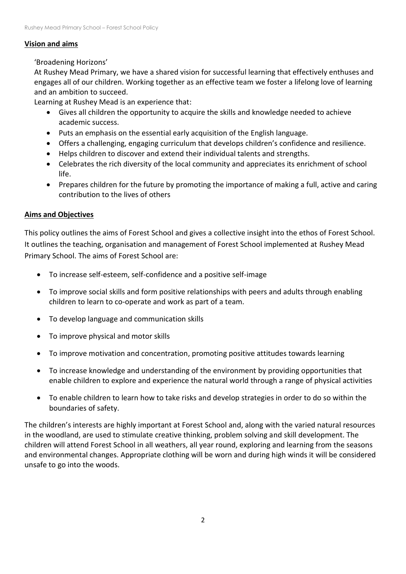#### **Vision and aims**

# 'Broadening Horizons'

At Rushey Mead Primary, we have a shared vision for successful learning that effectively enthuses and engages all of our children. Working together as an effective team we foster a lifelong love of learning and an ambition to succeed.

Learning at Rushey Mead is an experience that:

- Gives all children the opportunity to acquire the skills and knowledge needed to achieve academic success.
- Puts an emphasis on the essential early acquisition of the English language.
- Offers a challenging, engaging curriculum that develops children's confidence and resilience.
- Helps children to discover and extend their individual talents and strengths.
- Celebrates the rich diversity of the local community and appreciates its enrichment of school life.
- Prepares children for the future by promoting the importance of making a full, active and caring contribution to the lives of others

# **Aims and Objectives**

This policy outlines the aims of Forest School and gives a collective insight into the ethos of Forest School. It outlines the teaching, organisation and management of Forest School implemented at Rushey Mead Primary School. The aims of Forest School are:

- To increase self-esteem, self-confidence and a positive self-image
- To improve social skills and form positive relationships with peers and adults through enabling children to learn to co-operate and work as part of a team.
- To develop language and communication skills
- To improve physical and motor skills
- To improve motivation and concentration, promoting positive attitudes towards learning
- To increase knowledge and understanding of the environment by providing opportunities that enable children to explore and experience the natural world through a range of physical activities
- To enable children to learn how to take risks and develop strategies in order to do so within the boundaries of safety.

The children's interests are highly important at Forest School and, along with the varied natural resources in the woodland, are used to stimulate creative thinking, problem solving and skill development. The children will attend Forest School in all weathers, all year round, exploring and learning from the seasons and environmental changes. Appropriate clothing will be worn and during high winds it will be considered unsafe to go into the woods.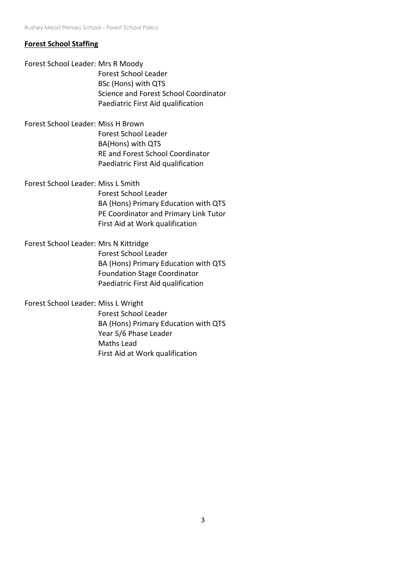#### **Forest School Staffing**

Forest School Leader: Mrs R Moody Forest School Leader BSc (Hons) with QTS Science and Forest School Coordinator Paediatric First Aid qualification

Forest School Leader: Miss H Brown Forest School Leader BA(Hons) with QTS RE and Forest School Coordinator Paediatric First Aid qualification

Forest School Leader: Miss L Smith Forest School Leader BA (Hons) Primary Education with QTS PE Coordinator and Primary Link Tutor First Aid at Work qualification

Forest School Leader: Mrs N Kittridge Forest School Leader BA (Hons) Primary Education with QTS Foundation Stage Coordinator Paediatric First Aid qualification

Forest School Leader: Miss L Wright

Forest School Leader BA (Hons) Primary Education with QTS Year 5/6 Phase Leader Maths Lead First Aid at Work qualification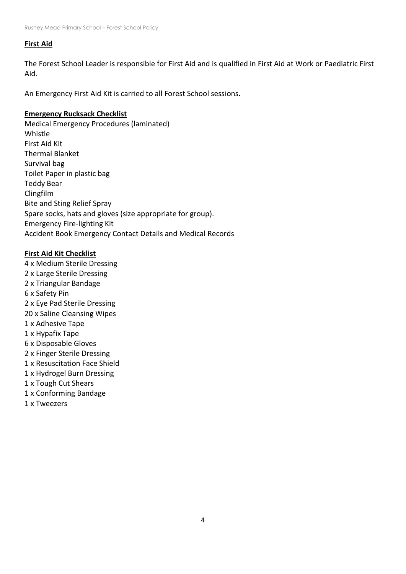#### **First Aid**

The Forest School Leader is responsible for First Aid and is qualified in First Aid at Work or Paediatric First Aid.

An Emergency First Aid Kit is carried to all Forest School sessions.

#### **Emergency Rucksack Checklist**

Medical Emergency Procedures (laminated) Whistle First Aid Kit Thermal Blanket Survival bag Toilet Paper in plastic bag Teddy Bear Clingfilm Bite and Sting Relief Spray Spare socks, hats and gloves (size appropriate for group). Emergency Fire-lighting Kit Accident Book Emergency Contact Details and Medical Records

#### **First Aid Kit Checklist**

4 x Medium Sterile Dressing 2 x Large Sterile Dressing 2 x Triangular Bandage 6 x Safety Pin 2 x Eye Pad Sterile Dressing 20 x Saline Cleansing Wipes 1 x Adhesive Tape 1 x Hypafix Tape 6 x Disposable Gloves 2 x Finger Sterile Dressing 1 x Resuscitation Face Shield 1 x Hydrogel Burn Dressing 1 x Tough Cut Shears 1 x Conforming Bandage 1 x Tweezers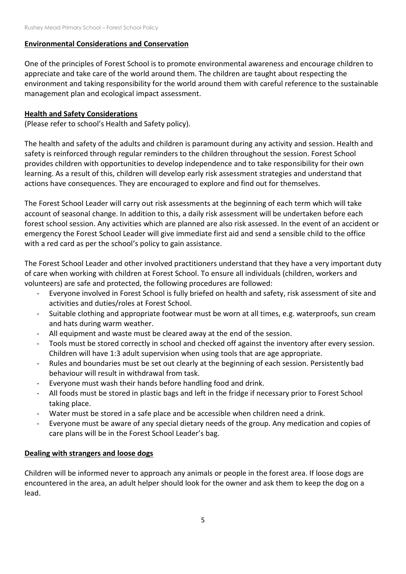#### **Environmental Considerations and Conservation**

One of the principles of Forest School is to promote environmental awareness and encourage children to appreciate and take care of the world around them. The children are taught about respecting the environment and taking responsibility for the world around them with careful reference to the sustainable management plan and ecological impact assessment.

#### **Health and Safety Considerations**

(Please refer to school's Health and Safety policy).

The health and safety of the adults and children is paramount during any activity and session. Health and safety is reinforced through regular reminders to the children throughout the session. Forest School provides children with opportunities to develop independence and to take responsibility for their own learning. As a result of this, children will develop early risk assessment strategies and understand that actions have consequences. They are encouraged to explore and find out for themselves.

The Forest School Leader will carry out risk assessments at the beginning of each term which will take account of seasonal change. In addition to this, a daily risk assessment will be undertaken before each forest school session. Any activities which are planned are also risk assessed. In the event of an accident or emergency the Forest School Leader will give immediate first aid and send a sensible child to the office with a red card as per the school's policy to gain assistance.

The Forest School Leader and other involved practitioners understand that they have a very important duty of care when working with children at Forest School. To ensure all individuals (children, workers and volunteers) are safe and protected, the following procedures are followed:

- Everyone involved in Forest School is fully briefed on health and safety, risk assessment of site and activities and duties/roles at Forest School.
- Suitable clothing and appropriate footwear must be worn at all times, e.g. waterproofs, sun cream and hats during warm weather.
- All equipment and waste must be cleared away at the end of the session.
- Tools must be stored correctly in school and checked off against the inventory after every session. Children will have 1:3 adult supervision when using tools that are age appropriate.
- Rules and boundaries must be set out clearly at the beginning of each session. Persistently bad behaviour will result in withdrawal from task.
- Everyone must wash their hands before handling food and drink.
- All foods must be stored in plastic bags and left in the fridge if necessary prior to Forest School taking place.
- Water must be stored in a safe place and be accessible when children need a drink.
- Everyone must be aware of any special dietary needs of the group. Any medication and copies of care plans will be in the Forest School Leader's bag.

# **Dealing with strangers and loose dogs**

Children will be informed never to approach any animals or people in the forest area. If loose dogs are encountered in the area, an adult helper should look for the owner and ask them to keep the dog on a lead.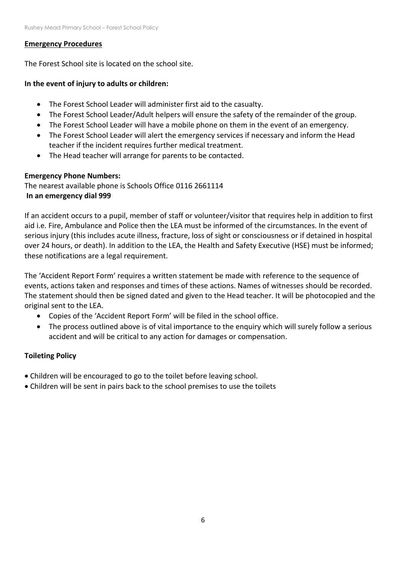#### **Emergency Procedures**

The Forest School site is located on the school site.

# **In the event of injury to adults or children:**

- The Forest School Leader will administer first aid to the casualty.
- The Forest School Leader/Adult helpers will ensure the safety of the remainder of the group.
- The Forest School Leader will have a mobile phone on them in the event of an emergency.
- The Forest School Leader will alert the emergency services if necessary and inform the Head teacher if the incident requires further medical treatment.
- The Head teacher will arrange for parents to be contacted.

# **Emergency Phone Numbers:**

The nearest available phone is Schools Office 0116 2661114 **In an emergency dial 999**

If an accident occurs to a pupil, member of staff or volunteer/visitor that requires help in addition to first aid i.e. Fire, Ambulance and Police then the LEA must be informed of the circumstances. In the event of serious injury (this includes acute illness, fracture, loss of sight or consciousness or if detained in hospital over 24 hours, or death). In addition to the LEA, the Health and Safety Executive (HSE) must be informed; these notifications are a legal requirement.

The 'Accident Report Form' requires a written statement be made with reference to the sequence of events, actions taken and responses and times of these actions. Names of witnesses should be recorded. The statement should then be signed dated and given to the Head teacher. It will be photocopied and the original sent to the LEA.

- Copies of the 'Accident Report Form' will be filed in the school office.
- The process outlined above is of vital importance to the enquiry which will surely follow a serious accident and will be critical to any action for damages or compensation.

# **Toileting Policy**

- Children will be encouraged to go to the toilet before leaving school.
- Children will be sent in pairs back to the school premises to use the toilets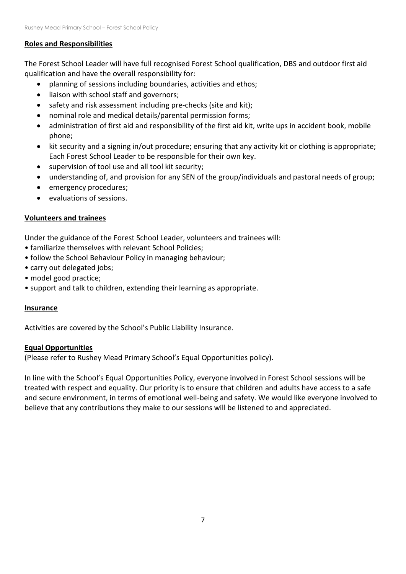# **Roles and Responsibilities**

The Forest School Leader will have full recognised Forest School qualification, DBS and outdoor first aid qualification and have the overall responsibility for:

- planning of sessions including boundaries, activities and ethos;
- liaison with school staff and governors;
- safety and risk assessment including pre-checks (site and kit);
- nominal role and medical details/parental permission forms;
- administration of first aid and responsibility of the first aid kit, write ups in accident book, mobile phone;
- kit security and a signing in/out procedure; ensuring that any activity kit or clothing is appropriate; Each Forest School Leader to be responsible for their own key.
- supervision of tool use and all tool kit security;
- understanding of, and provision for any SEN of the group/individuals and pastoral needs of group;
- emergency procedures;
- evaluations of sessions.

# **Volunteers and trainees**

Under the guidance of the Forest School Leader, volunteers and trainees will:

- familiarize themselves with relevant School Policies;
- follow the School Behaviour Policy in managing behaviour;
- carry out delegated jobs;
- model good practice;
- support and talk to children, extending their learning as appropriate.

# **Insurance**

Activities are covered by the School's Public Liability Insurance.

#### **Equal Opportunities**

(Please refer to Rushey Mead Primary School's Equal Opportunities policy).

In line with the School's Equal Opportunities Policy, everyone involved in Forest School sessions will be treated with respect and equality. Our priority is to ensure that children and adults have access to a safe and secure environment, in terms of emotional well-being and safety. We would like everyone involved to believe that any contributions they make to our sessions will be listened to and appreciated.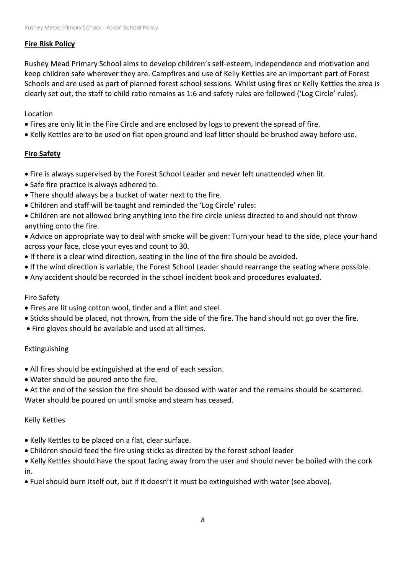#### **Fire Risk Policy**

Rushey Mead Primary School aims to develop children's self-esteem, independence and motivation and keep children safe wherever they are. Campfires and use of Kelly Kettles are an important part of Forest Schools and are used as part of planned forest school sessions. Whilst using fires or Kelly Kettles the area is clearly set out, the staff to child ratio remains as 1:6 and safety rules are followed ('Log Circle' rules).

# Location

- Fires are only lit in the Fire Circle and are enclosed by logs to prevent the spread of fire.
- Kelly Kettles are to be used on flat open ground and leaf litter should be brushed away before use.

# **Fire Safety**

- Fire is always supervised by the Forest School Leader and never left unattended when lit.
- Safe fire practice is always adhered to.
- There should always be a bucket of water next to the fire.
- Children and staff will be taught and reminded the 'Log Circle' rules:
- Children are not allowed bring anything into the fire circle unless directed to and should not throw anything onto the fire.

• Advice on appropriate way to deal with smoke will be given: Turn your head to the side, place your hand across your face, close your eyes and count to 30.

- If there is a clear wind direction, seating in the line of the fire should be avoided.
- If the wind direction is variable, the Forest School Leader should rearrange the seating where possible.
- Any accident should be recorded in the school incident book and procedures evaluated.

# Fire Safety

- Fires are lit using cotton wool, tinder and a flint and steel.
- Sticks should be placed, not thrown, from the side of the fire. The hand should not go over the fire.
- Fire gloves should be available and used at all times.

# Extinguishing

- All fires should be extinguished at the end of each session.
- Water should be poured onto the fire.
- At the end of the session the fire should be doused with water and the remains should be scattered. Water should be poured on until smoke and steam has ceased.

#### Kelly Kettles

- Kelly Kettles to be placed on a flat, clear surface.
- Children should feed the fire using sticks as directed by the forest school leader

• Kelly Kettles should have the spout facing away from the user and should never be boiled with the cork in.

• Fuel should burn itself out, but if it doesn't it must be extinguished with water (see above).